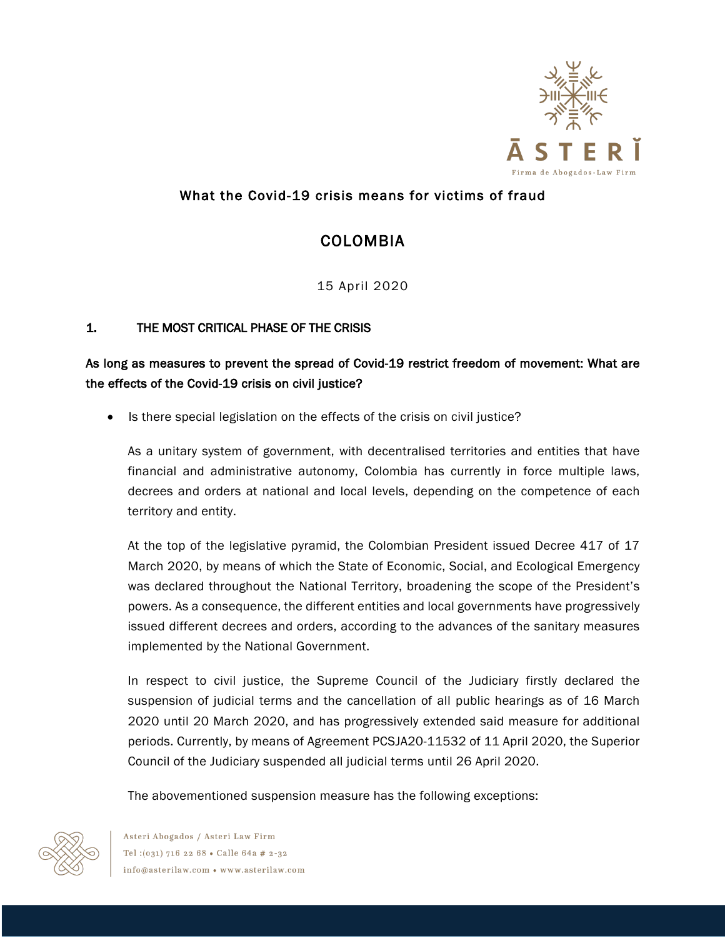

## What the Covid-19 crisis means for victims of fraud

# COLOMBIA

15 April 2020

## 1. THE MOST CRITICAL PHASE OF THE CRISIS

## As long as measures to prevent the spread of Covid-19 restrict freedom of movement: What are the effects of the Covid-19 crisis on civil justice?

• Is there special legislation on the effects of the crisis on civil justice?

As a unitary system of government, with decentralised territories and entities that have financial and administrative autonomy, Colombia has currently in force multiple laws, decrees and orders at national and local levels, depending on the competence of each territory and entity.

At the top of the legislative pyramid, the Colombian President issued Decree 417 of 17 March 2020, by means of which the State of Economic, Social, and Ecological Emergency was declared throughout the National Territory, broadening the scope of the President's powers. As a consequence, the different entities and local governments have progressively issued different decrees and orders, according to the advances of the sanitary measures implemented by the National Government.

In respect to civil justice, the Supreme Council of the Judiciary firstly declared the suspension of judicial terms and the cancellation of all public hearings as of 16 March 2020 until 20 March 2020, and has progressively extended said measure for additional periods. Currently, by means of Agreement PCSJA20-11532 of 11 April 2020, the Superior Council of the Judiciary suspended all judicial terms until 26 April 2020.

The abovementioned suspension measure has the following exceptions:



Asteri Abogados / Asteri Law Firm Tel: (031) 716 22 68 . Calle 64a # 2-32 info@asterilaw.com • www.asterilaw.com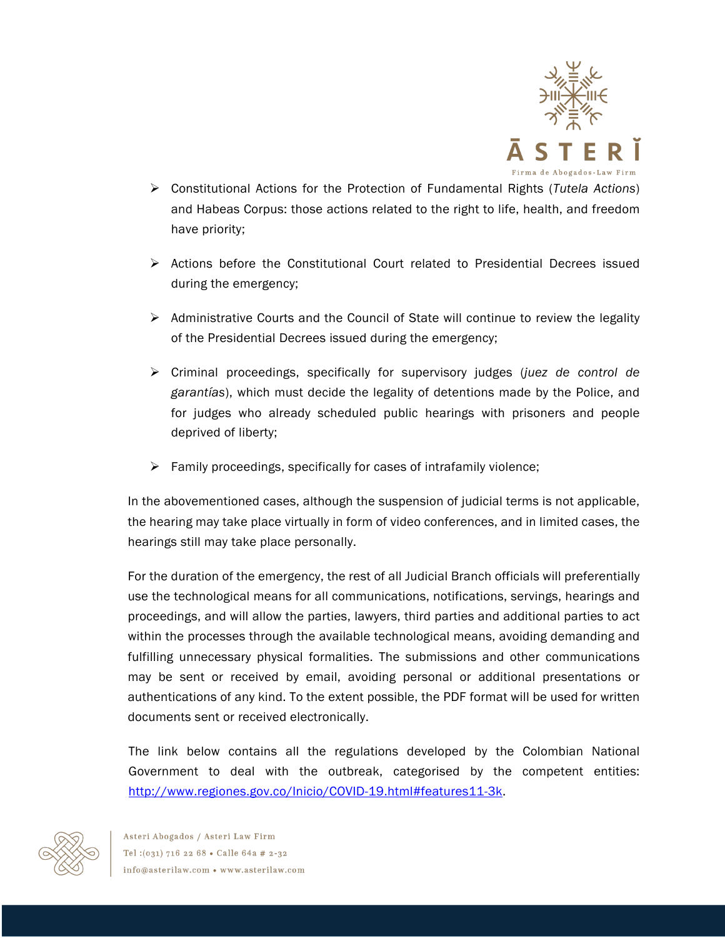

- Ø Constitutional Actions for the Protection of Fundamental Rights (*Tutela Actions*) and Habeas Corpus: those actions related to the right to life, health, and freedom have priority;
- $\triangleright$  Actions before the Constitutional Court related to Presidential Decrees issued during the emergency;
- $\triangleright$  Administrative Courts and the Council of State will continue to review the legality of the Presidential Decrees issued during the emergency;
- Ø Criminal proceedings, specifically for supervisory judges (*juez de control de garantías*), which must decide the legality of detentions made by the Police, and for judges who already scheduled public hearings with prisoners and people deprived of liberty;
- $\triangleright$  Family proceedings, specifically for cases of intrafamily violence;

In the abovementioned cases, although the suspension of judicial terms is not applicable, the hearing may take place virtually in form of video conferences, and in limited cases, the hearings still may take place personally.

For the duration of the emergency, the rest of all Judicial Branch officials will preferentially use the technological means for all communications, notifications, servings, hearings and proceedings, and will allow the parties, lawyers, third parties and additional parties to act within the processes through the available technological means, avoiding demanding and fulfilling unnecessary physical formalities. The submissions and other communications may be sent or received by email, avoiding personal or additional presentations or authentications of any kind. To the extent possible, the PDF format will be used for written documents sent or received electronically.

The link below contains all the regulations developed by the Colombian National Government to deal with the outbreak, categorised by the competent entities: http://www.regiones.gov.co/Inicio/COVID-19.html#features11-3k.

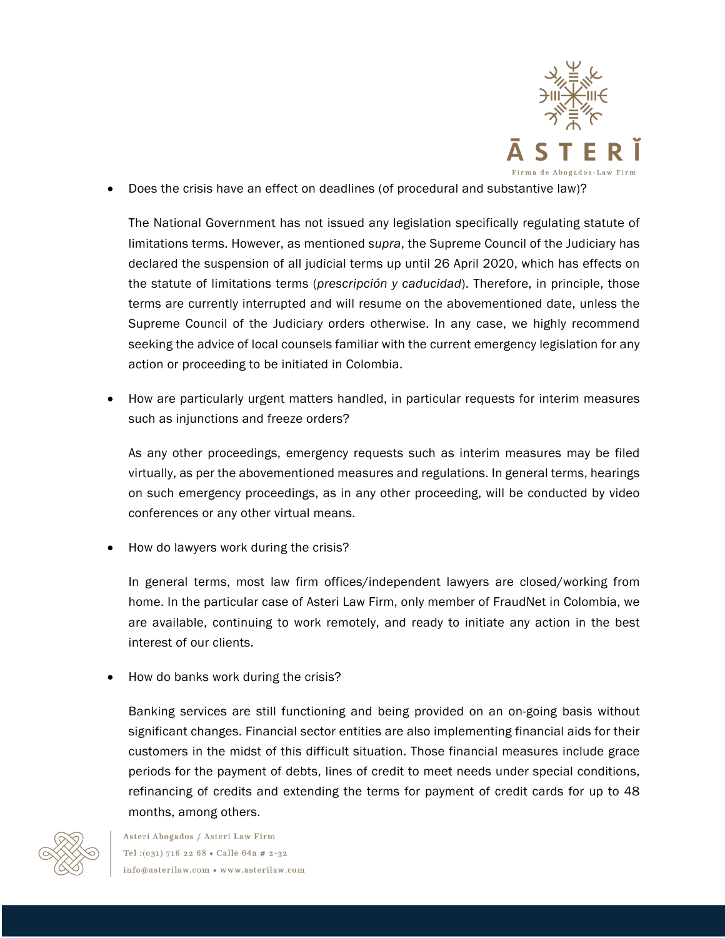

• Does the crisis have an effect on deadlines (of procedural and substantive law)?

The National Government has not issued any legislation specifically regulating statute of limitations terms. However, as mentioned *supra*, the Supreme Council of the Judiciary has declared the suspension of all judicial terms up until 26 April 2020, which has effects on the statute of limitations terms (*prescripción y caducidad*). Therefore, in principle, those terms are currently interrupted and will resume on the abovementioned date, unless the Supreme Council of the Judiciary orders otherwise. In any case, we highly recommend seeking the advice of local counsels familiar with the current emergency legislation for any action or proceeding to be initiated in Colombia.

• How are particularly urgent matters handled, in particular requests for interim measures such as injunctions and freeze orders?

As any other proceedings, emergency requests such as interim measures may be filed virtually, as per the abovementioned measures and regulations. In general terms, hearings on such emergency proceedings, as in any other proceeding, will be conducted by video conferences or any other virtual means.

• How do lawyers work during the crisis?

In general terms, most law firm offices/independent lawyers are closed/working from home. In the particular case of Asteri Law Firm, only member of FraudNet in Colombia, we are available, continuing to work remotely, and ready to initiate any action in the best interest of our clients.

• How do banks work during the crisis?

Banking services are still functioning and being provided on an on-going basis without significant changes. Financial sector entities are also implementing financial aids for their customers in the midst of this difficult situation. Those financial measures include grace periods for the payment of debts, lines of credit to meet needs under special conditions, refinancing of credits and extending the terms for payment of credit cards for up to 48 months, among others.



Asteri Abogados / Asteri Law Firm Tel: (031) 716 22 68 . Calle 64a # 2-32 info@asterilaw.com • www.asterilaw.com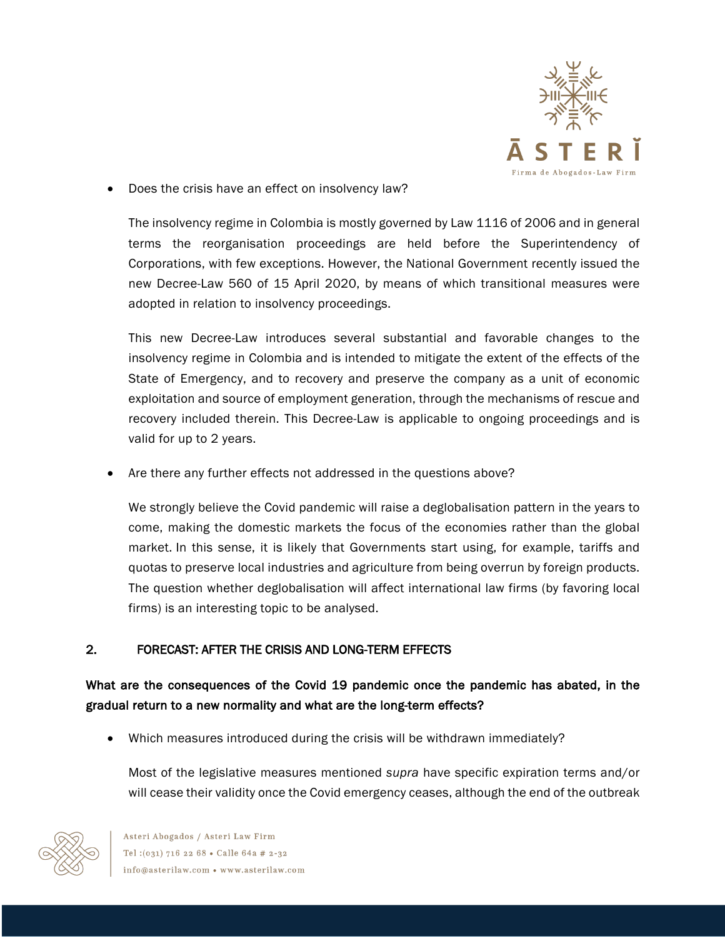

• Does the crisis have an effect on insolvency law?

The insolvency regime in Colombia is mostly governed by Law 1116 of 2006 and in general terms the reorganisation proceedings are held before the Superintendency of Corporations, with few exceptions. However, the National Government recently issued the new Decree-Law 560 of 15 April 2020, by means of which transitional measures were adopted in relation to insolvency proceedings.

This new Decree-Law introduces several substantial and favorable changes to the insolvency regime in Colombia and is intended to mitigate the extent of the effects of the State of Emergency, and to recovery and preserve the company as a unit of economic exploitation and source of employment generation, through the mechanisms of rescue and recovery included therein. This Decree-Law is applicable to ongoing proceedings and is valid for up to 2 years.

• Are there any further effects not addressed in the questions above?

We strongly believe the Covid pandemic will raise a deglobalisation pattern in the years to come, making the domestic markets the focus of the economies rather than the global market. In this sense, it is likely that Governments start using, for example, tariffs and quotas to preserve local industries and agriculture from being overrun by foreign products. The question whether deglobalisation will affect international law firms (by favoring local firms) is an interesting topic to be analysed.

### 2. FORECAST: AFTER THE CRISIS AND LONG-TERM EFFECTS

What are the consequences of the Covid 19 pandemic once the pandemic has abated, in the gradual return to a new normality and what are the long-term effects?

• Which measures introduced during the crisis will be withdrawn immediately?

Most of the legislative measures mentioned *supra* have specific expiration terms and/or will cease their validity once the Covid emergency ceases, although the end of the outbreak